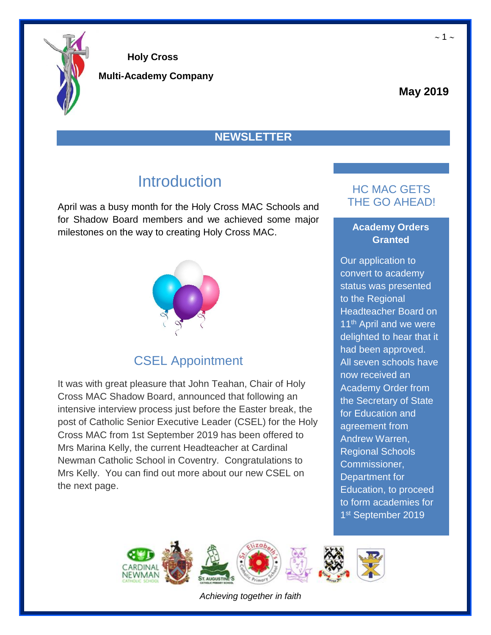

**Multi-Academy Company**

#### **May 2019**

#### **NEWSLETTER**

## **Introduction**

April was a busy month for the Holy Cross MAC Schools and for Shadow Board members and we achieved some major milestones on the way to creating Holy Cross MAC.



## CSEL Appointment

It was with great pleasure that John Teahan, Chair of Holy Cross MAC Shadow Board, announced that following an intensive interview process just before the Easter break, the post of Catholic Senior Executive Leader (CSEL) for the Holy Cross MAC from 1st September 2019 has been offered to Mrs Marina Kelly, the current Headteacher at Cardinal Newman Catholic School in Coventry. Congratulations to Mrs Kelly. You can find out more about our new CSEL on the next page.

### HC MAC GETS THE GO AHEAD!

#### **Academy Orders Granted**

Our application to convert to academy status was presented to the Regional Headteacher Board on 11<sup>th</sup> April and we were delighted to hear that it had been approved. All seven schools have now received an Academy Order from the Secretary of State for Education and agreement from Andrew Warren, Regional Schools Commissioner, Department for Education, to proceed to form academies for 1<sup>st</sup> September 2019

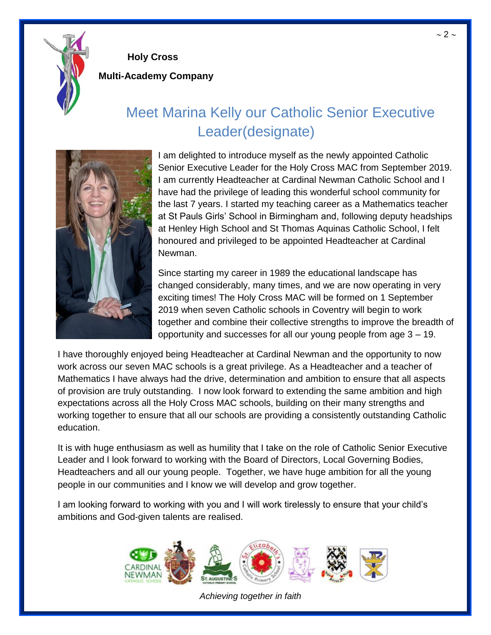

**Multi-Academy Company**

# Meet Marina Kelly our Catholic Senior Executive Leader(designate)



I am delighted to introduce myself as the newly appointed Catholic Senior Executive Leader for the Holy Cross MAC from September 2019. I am currently Headteacher at Cardinal Newman Catholic School and I have had the privilege of leading this wonderful school community for the last 7 years. I started my teaching career as a Mathematics teacher at St Pauls Girls' School in Birmingham and, following deputy headships at Henley High School and St Thomas Aquinas Catholic School, I felt honoured and privileged to be appointed Headteacher at Cardinal Newman.

Since starting my career in 1989 the educational landscape has changed considerably, many times, and we are now operating in very exciting times! The Holy Cross MAC will be formed on 1 September 2019 when seven Catholic schools in Coventry will begin to work together and combine their collective strengths to improve the breadth of opportunity and successes for all our young people from age 3 – 19.

I have thoroughly enjoyed being Headteacher at Cardinal Newman and the opportunity to now work across our seven MAC schools is a great privilege. As a Headteacher and a teacher of Mathematics I have always had the drive, determination and ambition to ensure that all aspects of provision are truly outstanding. I now look forward to extending the same ambition and high expectations across all the Holy Cross MAC schools, building on their many strengths and working together to ensure that all our schools are providing a consistently outstanding Catholic education.

It is with huge enthusiasm as well as humility that I take on the role of Catholic Senior Executive Leader and I look forward to working with the Board of Directors, Local Governing Bodies, Headteachers and all our young people. Together, we have huge ambition for all the young people in our communities and I know we will develop and grow together.

I am looking forward to working with you and I will work tirelessly to ensure that your child's ambitions and God-given talents are realised.



*Achieving together in faith*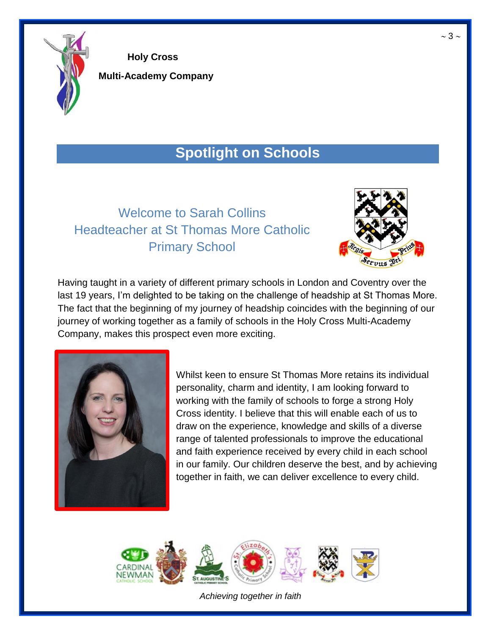

**Multi-Academy Company**

# **Spotlight on Schools**

## Welcome to Sarah Collins Headteacher at St Thomas More Catholic Primary School



Having taught in a variety of different primary schools in London and Coventry over the last 19 years, I'm delighted to be taking on the challenge of headship at St Thomas More. The fact that the beginning of my journey of headship coincides with the beginning of our journey of working together as a family of schools in the Holy Cross Multi-Academy Company, makes this prospect even more exciting.



Whilst keen to ensure St Thomas More retains its individual personality, charm and identity, I am looking forward to working with the family of schools to forge a strong Holy Cross identity. I believe that this will enable each of us to draw on the experience, knowledge and skills of a diverse range of talented professionals to improve the educational and faith experience received by every child in each school in our family. Our children deserve the best, and by achieving together in faith, we can deliver excellence to every child.

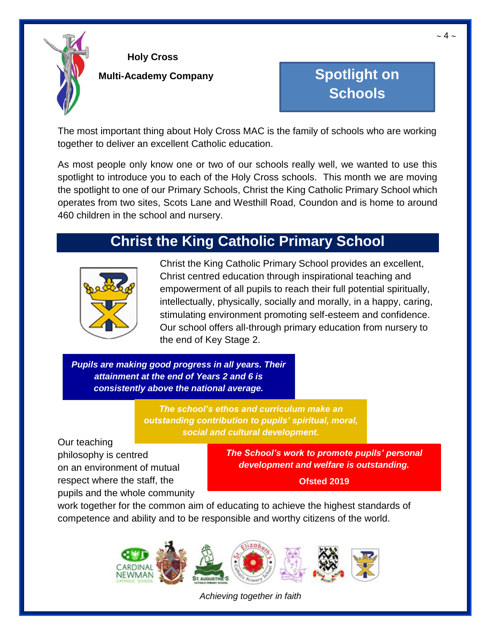

#### **Multi-Academy Company**

# **Spotlight on Schools**

The most important thing about Holy Cross MAC is the family of schools who are working together to deliver an excellent Catholic education.

As most people only know one or two of our schools really well, we wanted to use this spotlight to introduce you to each of the Holy Cross schools. This month we are moving the spotlight to one of our Primary Schools, Christ the King Catholic Primary School which operates from two sites, Scots Lane and Westhill Road, Coundon and is home to around 460 children in the school and nursery.

## **Christ the King Catholic Primary School**



Christ the King Catholic Primary School provides an excellent, Christ centred education through inspirational teaching and empowerment of all pupils to reach their full potential spiritually, intellectually, physically, socially and morally, in a happy, caring, stimulating environment promoting self-esteem and confidence. Our school offers all-through primary education from nursery to the end of Key Stage 2.

*Pupils are making good progress in all years. Their attainment at the end of Years 2 and 6 is consistently above the national average.*

> *The school's ethos and curriculum make an outstanding contribution to pupils' spiritual, moral, social and cultural development.*

Our teaching philosophy is centred on an environment of mutual respect where the staff, the pupils and the whole community

*The School's work to promote pupils' personal development and welfare is outstanding.*

**Ofsted 2019**

work together for the common aim of educating to achieve the highest standards of competence and ability and to be responsible and worthy citizens of the world.

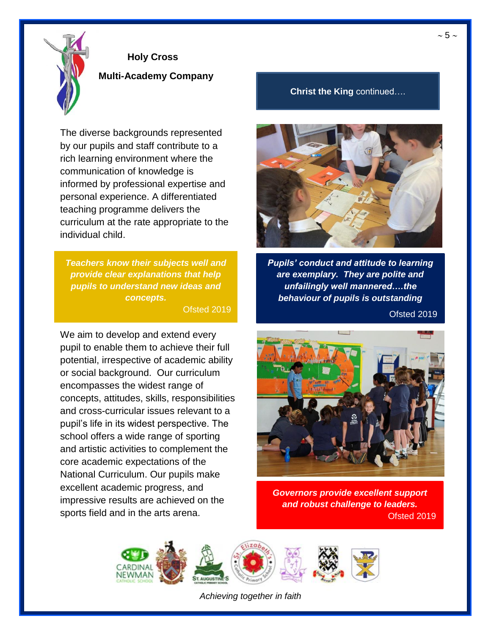

**Multi-Academy Company**

The diverse backgrounds represented by our pupils and staff contribute to a rich learning environment where the communication of knowledge is informed by professional expertise and personal experience. A differentiated teaching programme delivers the curriculum at the rate appropriate to the individual child.

*Teachers know their subjects well and provide clear explanations that help pupils to understand new ideas and concepts.* Ofsted 2019

We aim to develop and extend every pupil to enable them to achieve their full potential, irrespective of academic ability or social background. Our curriculum encompasses the widest range of concepts, attitudes, skills, responsibilities and cross-curricular issues relevant to a pupil's life in its widest perspective. The school offers a wide range of sporting and artistic activities to complement the core academic expectations of the National Curriculum. Our pupils make excellent academic progress, and impressive results are achieved on the sports field and in the arts arena.

#### **Christ the King** continued….



*Pupils' conduct and attitude to learning are exemplary. They are polite and unfailingly well mannered….the behaviour of pupils is outstanding*

Ofsted 2019



*Governors provide excellent support and robust challenge to leaders.* Ofsted 2019